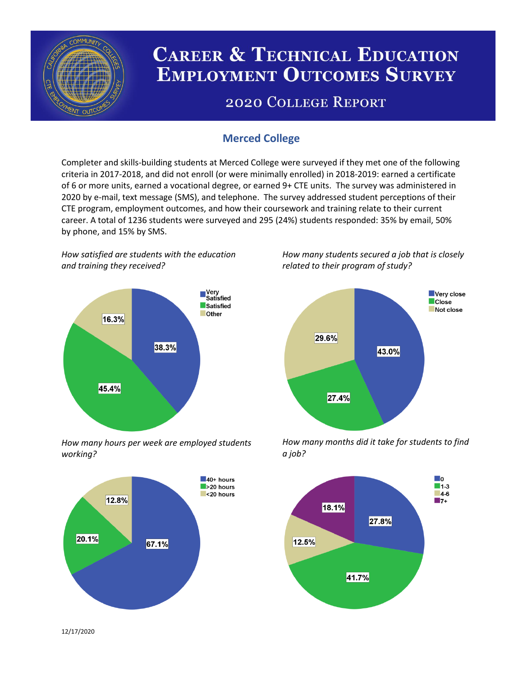

# **CAREER & TECHNICAL EDUCATION EMPLOYMENT OUTCOMES SURVEY**

## **2020 COLLEGE REPORT**

## **Merced College**

Completer and skills-building students at Merced College were surveyed if they met one of the following criteria in 2017-2018, and did not enroll (or were minimally enrolled) in 2018-2019: earned a certificate of 6 or more units, earned a vocational degree, or earned 9+ CTE units. The survey was administered in 2020 by e-mail, text message (SMS), and telephone. The survey addressed student perceptions of their CTE program, employment outcomes, and how their coursework and training relate to their current career. A total of 1236 students were surveyed and 295 (24%) students responded: 35% by email, 50% by phone, and 15% by SMS.

*How satisfied are students with the education and training they received?*



*How many hours per week are employed students working?*



*How many students secured a job that is closely related to their program of study?*



*How many months did it take for students to find a job?*



12/17/2020